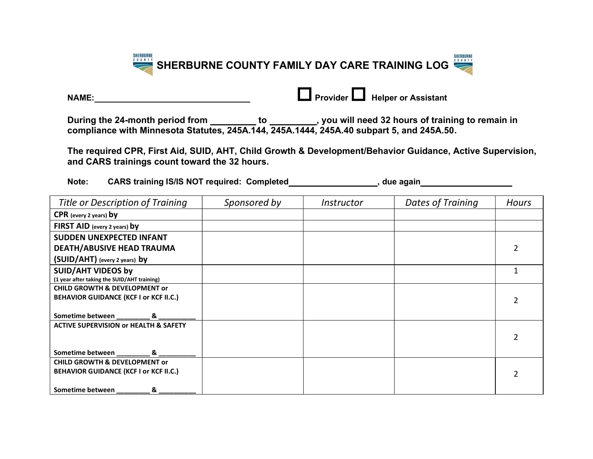

| <b>NAME:</b> | <b>Let Provider Luand Helper or Assistant</b> |
|--------------|-----------------------------------------------|
|              |                                               |

| NAME:                                                                                                                                                      |                                                                                                                                                                                                          | <b>Let</b> Provider <b>Legend</b> Helper or Assistant |                                                                                         |                |  |  |  |  |
|------------------------------------------------------------------------------------------------------------------------------------------------------------|----------------------------------------------------------------------------------------------------------------------------------------------------------------------------------------------------------|-------------------------------------------------------|-----------------------------------------------------------------------------------------|----------------|--|--|--|--|
|                                                                                                                                                            | During the 24-month period from ____________ to ___________, you will need 32 hours of training to remain in<br>compliance with Minnesota Statutes, 245A.144, 245A.1444, 245A.40 subpart 5, and 245A.50. |                                                       |                                                                                         |                |  |  |  |  |
| The required CPR, First Aid, SUID, AHT, Child Growth & Development/Behavior Guidance, Active Supervision,<br>and CARS trainings count toward the 32 hours. |                                                                                                                                                                                                          |                                                       |                                                                                         |                |  |  |  |  |
| Note:                                                                                                                                                      |                                                                                                                                                                                                          |                                                       | CARS training IS/IS NOT required: Completed_____________________, due again____________ |                |  |  |  |  |
| Title or Description of Training                                                                                                                           | Sponsored by                                                                                                                                                                                             | Instructor                                            | <b>Dates of Training</b>                                                                | <b>Hours</b>   |  |  |  |  |
| CPR (every 2 years) by                                                                                                                                     |                                                                                                                                                                                                          |                                                       |                                                                                         |                |  |  |  |  |
| FIRST AID (every 2 years) by                                                                                                                               |                                                                                                                                                                                                          |                                                       |                                                                                         |                |  |  |  |  |
| <b>SUDDEN UNEXPECTED INFANT</b>                                                                                                                            |                                                                                                                                                                                                          |                                                       |                                                                                         |                |  |  |  |  |
| <b>DEATH/ABUSIVE HEAD TRAUMA</b>                                                                                                                           |                                                                                                                                                                                                          |                                                       |                                                                                         | $\overline{2}$ |  |  |  |  |
| (SUID/AHT) (every 2 years) by                                                                                                                              |                                                                                                                                                                                                          |                                                       |                                                                                         |                |  |  |  |  |
| <b>SUID/AHT VIDEOS by</b>                                                                                                                                  |                                                                                                                                                                                                          |                                                       |                                                                                         | $\mathbf{1}$   |  |  |  |  |
| (1 year after taking the SUID/AHT training)                                                                                                                |                                                                                                                                                                                                          |                                                       |                                                                                         |                |  |  |  |  |
| <b>CHILD GROWTH &amp; DEVELOPMENT or</b>                                                                                                                   |                                                                                                                                                                                                          |                                                       |                                                                                         |                |  |  |  |  |
| <b>BEHAVIOR GUIDANCE (KCF I or KCF II.C.)</b>                                                                                                              |                                                                                                                                                                                                          |                                                       |                                                                                         | $\overline{2}$ |  |  |  |  |
| Sometime between ___________ & _                                                                                                                           |                                                                                                                                                                                                          |                                                       |                                                                                         |                |  |  |  |  |
| <b>ACTIVE SUPERVISION or HEALTH &amp; SAFETY</b>                                                                                                           |                                                                                                                                                                                                          |                                                       |                                                                                         |                |  |  |  |  |
|                                                                                                                                                            |                                                                                                                                                                                                          |                                                       |                                                                                         | $\overline{2}$ |  |  |  |  |
|                                                                                                                                                            |                                                                                                                                                                                                          |                                                       |                                                                                         |                |  |  |  |  |
| Sometime between<br>&<br><b>CHILD GROWTH &amp; DEVELOPMENT or</b>                                                                                          |                                                                                                                                                                                                          |                                                       |                                                                                         |                |  |  |  |  |
| <b>BEHAVIOR GUIDANCE (KCF I or KCF II.C.)</b>                                                                                                              |                                                                                                                                                                                                          |                                                       |                                                                                         |                |  |  |  |  |
|                                                                                                                                                            |                                                                                                                                                                                                          |                                                       |                                                                                         | 2              |  |  |  |  |
| Sometime between<br>&                                                                                                                                      |                                                                                                                                                                                                          |                                                       |                                                                                         |                |  |  |  |  |
|                                                                                                                                                            |                                                                                                                                                                                                          |                                                       |                                                                                         |                |  |  |  |  |
|                                                                                                                                                            |                                                                                                                                                                                                          |                                                       |                                                                                         |                |  |  |  |  |
|                                                                                                                                                            |                                                                                                                                                                                                          |                                                       |                                                                                         |                |  |  |  |  |
|                                                                                                                                                            |                                                                                                                                                                                                          |                                                       |                                                                                         |                |  |  |  |  |
|                                                                                                                                                            |                                                                                                                                                                                                          |                                                       |                                                                                         |                |  |  |  |  |